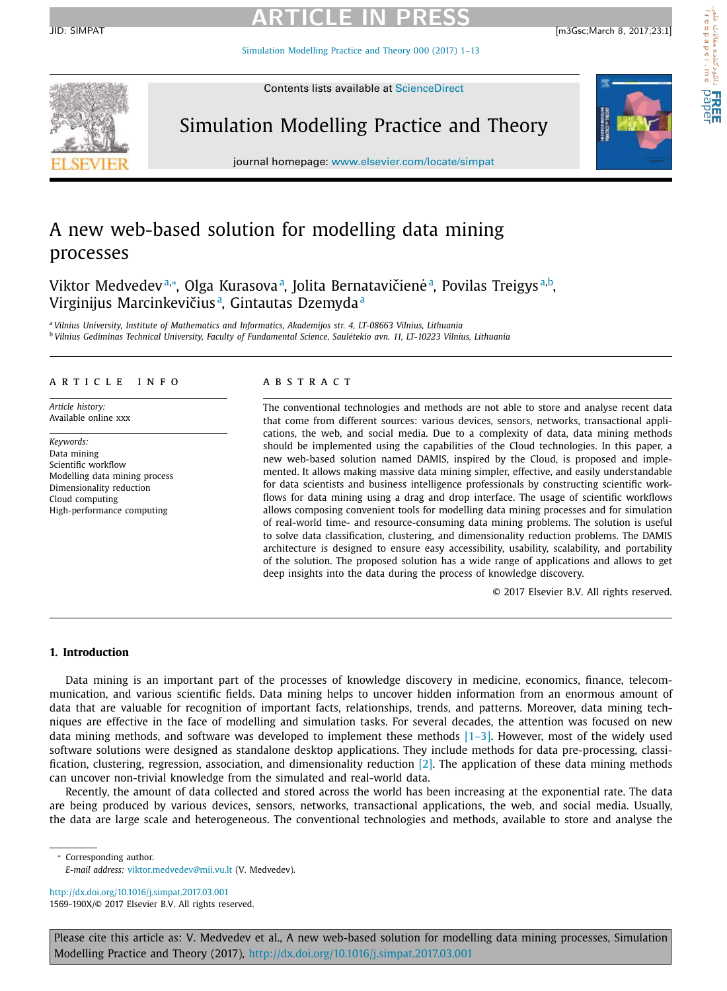[Simulation](http://dx.doi.org/10.1016/j.simpat.2017.03.001) Modelling Practice and Theory 000 (2017) 1–13



Contents lists available at [ScienceDirect](http://www.ScienceDirect.com)

Simulation Modelling Practice and Theory



journal homepage: [www.elsevier.com/locate/simpat](http://www.elsevier.com/locate/simpat)

## A new web-based solution for modelling data mining processes

Viktor Medvedevª,\*, Olga Kurasovaª, Jolita Bernatavičienėª, Povilas Treigysª,<sup>b</sup>, Virginijus Marcinkevičius<sup>a</sup>, Gintautas Dzemyda<sup>a</sup>

<sup>a</sup> *Vilnius University, Institute of Mathematics and Informatics, Akademijos str. 4, LT-08663 Vilnius, Lithuania* <sup>b</sup> Vilnius Gediminas Technical University, Faculty of Fundamental Science, Sauletekio avn. 11, LT-10223 Vilnius, Lithuania

#### ARTICLE INFO

*Article history:* Available online xxx

*Keywords:* Data mining Scientific workflow Modelling data mining process Dimensionality reduction Cloud computing High-performance computing

#### A B S T R A C T

The conventional technologies and methods are not able to store and analyse recent data that come from different sources: various devices, sensors, networks, transactional applications, the web, and social media. Due to a complexity of data, data mining methods should be implemented using the capabilities of the Cloud technologies. In this paper, a new web-based solution named DAMIS, inspired by the Cloud, is proposed and implemented. It allows making massive data mining simpler, effective, and easily understandable for data scientists and business intelligence professionals by constructing scientific workflows for data mining using a drag and drop interface. The usage of scientific workflows allows composing convenient tools for modelling data mining processes and for simulation of real-world time- and resource-consuming data mining problems. The solution is useful to solve data classification, clustering, and dimensionality reduction problems. The DAMIS architecture is designed to ensure easy accessibility, usability, scalability, and portability of the solution. The proposed solution has a wide range of applications and allows to get deep insights into the data during the process of knowledge discovery.

© 2017 Elsevier B.V. All rights reserved.

#### **1. Introduction**

Data mining is an important part of the processes of knowledge discovery in medicine, economics, finance, telecommunication, and various scientific fields. Data mining helps to uncover hidden information from an enormous amount of data that are valuable for recognition of important facts, relationships, trends, and patterns. Moreover, data mining techniques are effective in the face of modelling and simulation tasks. For several decades, the attention was focused on new data mining methods, and software was developed to implement these methods  $[1-3]$ . However, most of the widely used software solutions were designed as standalone desktop applications. They include methods for data pre-processing, classi-fication, clustering, regression, association, and dimensionality reduction [\[2\].](#page-10-0) The application of these data mining methods can uncover non-trivial knowledge from the simulated and real-world data.

Recently, the amount of data collected and stored across the world has been increasing at the exponential rate. The data are being produced by various devices, sensors, networks, transactional applications, the web, and social media. Usually, the data are large scale and heterogeneous. The conventional technologies and methods, available to store and analyse the

<sup>∗</sup> Corresponding author.

<http://dx.doi.org/10.1016/j.simpat.2017.03.001> 1569-190X/© 2017 Elsevier B.V. All rights reserved.

*E-mail address:* [viktor.medvedev@mii.vu.lt](mailto:viktor.medvedev@mii.vu.lt) (V. Medvedev).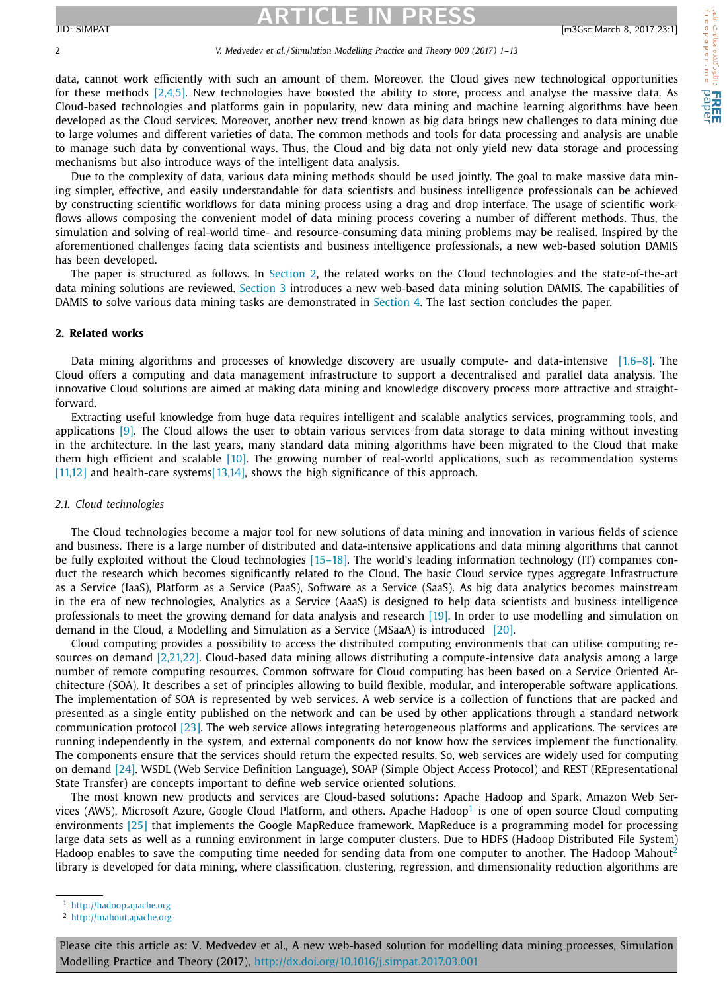<span id="page-1-0"></span>2 *V. Medvedev et al. / Simulation Modelling Practice and Theory 000 (2017) 1–13*

data, cannot work efficiently with such an amount of them. Moreover, the Cloud gives new technological opportunities for these methods [\[2,4,5\].](#page-10-0) New technologies have boosted the ability to store, process and analyse the massive data. As Cloud-based technologies and platforms gain in popularity, new data mining and machine learning algorithms have been developed as the Cloud services. Moreover, another new trend known as big data brings new challenges to data mining due to large volumes and different varieties of data. The common methods and tools for data processing and analysis are unable to manage such data by conventional ways. Thus, the Cloud and big data not only yield new data storage and processing mechanisms but also introduce ways of the intelligent data analysis.

Due to the complexity of data, various data mining methods should be used jointly. The goal to make massive data mining simpler, effective, and easily understandable for data scientists and business intelligence professionals can be achieved by constructing scientific workflows for data mining process using a drag and drop interface. The usage of scientific workflows allows composing the convenient model of data mining process covering a number of different methods. Thus, the simulation and solving of real-world time- and resource-consuming data mining problems may be realised. Inspired by the aforementioned challenges facing data scientists and business intelligence professionals, a new web-based solution DAMIS has been developed.

The paper is structured as follows. In Section 2, the related works on the Cloud technologies and the state-of-the-art data mining solutions are reviewed. [Section](#page-3-0) 3 introduces a new web-based data mining solution DAMIS. The capabilities of DAMIS to solve various data mining tasks are demonstrated in [Section](#page-6-0) 4. The last section concludes the paper.

#### **2. Related works**

Data mining algorithms and processes of knowledge discovery are usually compute- and data-intensive [\[1,6–8\].](#page-10-0) The Cloud offers a computing and data management infrastructure to support a decentralised and parallel data analysis. The innovative Cloud solutions are aimed at making data mining and knowledge discovery process more attractive and straightforward.

Extracting useful knowledge from huge data requires intelligent and scalable analytics services, programming tools, and applications [\[9\].](#page-11-0) The Cloud allows the user to obtain various services from data storage to data mining without investing in the architecture. In the last years, many standard data mining algorithms have been migrated to the Cloud that make them high efficient and scalable [\[10\].](#page-11-0) The growing number of real-world applications, such as recommendation systems [\[11,12\]](#page-11-0) and health-care system[s\[13,14\],](#page-11-0) shows the high significance of this approach.

#### *2.1. Cloud technologies*

The Cloud technologies become a major tool for new solutions of data mining and innovation in various fields of science and business. There is a large number of distributed and data-intensive applications and data mining algorithms that cannot be fully exploited without the Cloud technologies [15-18]. The world's leading information technology (IT) companies conduct the research which becomes significantly related to the Cloud. The basic Cloud service types aggregate Infrastructure as a Service (IaaS), Platform as a Service (PaaS), Software as a Service (SaaS). As big data analytics becomes mainstream in the era of new technologies, Analytics as a Service (AaaS) is designed to help data scientists and business intelligence professionals to meet the growing demand for data analysis and research [\[19\].](#page-11-0) In order to use modelling and simulation on demand in the Cloud, a Modelling and Simulation as a Service (MSaaA) is introduced [\[20\].](#page-11-0)

Cloud computing provides a possibility to access the distributed computing environments that can utilise computing resources on demand [\[2,21,22\].](#page-10-0) Cloud-based data mining allows distributing a compute-intensive data analysis among a large number of remote computing resources. Common software for Cloud computing has been based on a Service Oriented Architecture (SOA). It describes a set of principles allowing to build flexible, modular, and interoperable software applications. The implementation of SOA is represented by web services. A web service is a collection of functions that are packed and presented as a single entity published on the network and can be used by other applications through a standard network communication protocol [\[23\].](#page-11-0) The web service allows integrating heterogeneous platforms and applications. The services are running independently in the system, and external components do not know how the services implement the functionality. The components ensure that the services should return the expected results. So, web services are widely used for computing on demand [\[24\].](#page-11-0) WSDL (Web Service Definition Language), SOAP (Simple Object Access Protocol) and REST (REpresentational State Transfer) are concepts important to define web service oriented solutions.

The most known new products and services are Cloud-based solutions: Apache Hadoop and Spark, Amazon Web Services (AWS), Microsoft Azure, Google Cloud Platform, and others. Apache Hadoop<sup>1</sup> is one of open source Cloud computing environments [\[25\]](#page-11-0) that implements the Google MapReduce framework. MapReduce is a programming model for processing large data sets as well as a running environment in large computer clusters. Due to HDFS (Hadoop Distributed File System) Hadoop enables to save the computing time needed for sending data from one computer to another. The Hadoop Mahout<sup>2</sup> library is developed for data mining, where classification, clustering, regression, and dimensionality reduction algorithms are

<sup>1</sup> <http://hadoop.apache.org>

<sup>2</sup> <http://mahout.apache.org>

Please cite this article as: V. Medvedev et al., A new web-based solution for modelling data mining processes, Simulation Modelling Practice and Theory (2017), <http://dx.doi.org/10.1016/j.simpat.2017.03.001>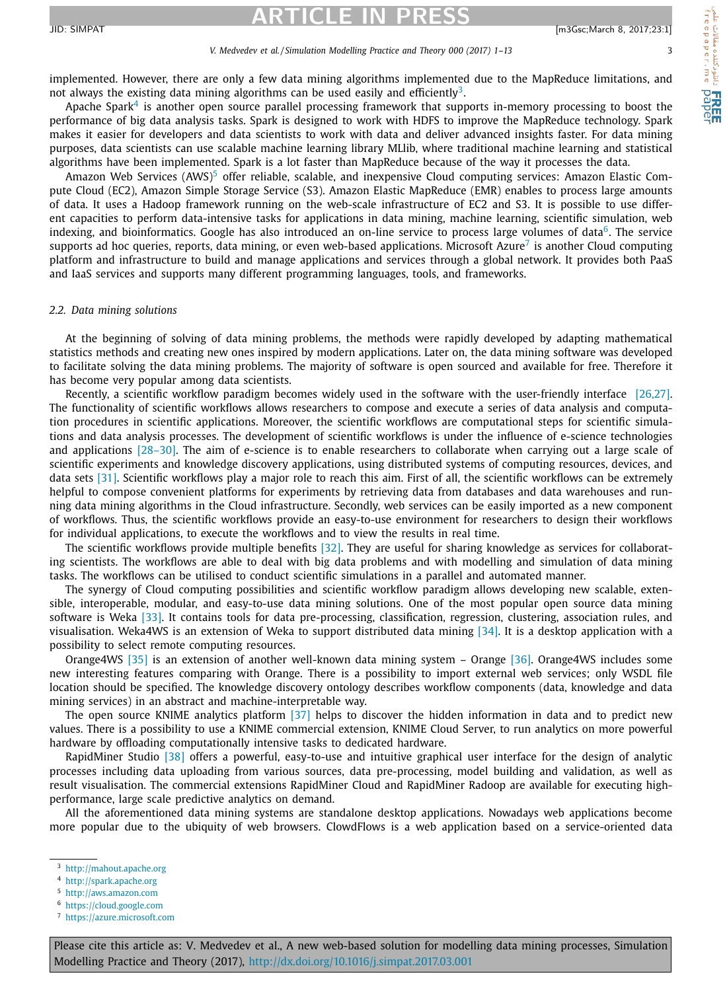دانلودکننده مقالات علمی<br>freepaper.me

**FREE**<br>Paper

implemented. However, there are only a few data mining algorithms implemented due to the MapReduce limitations, and not always the existing data mining algorithms can be used easily and efficiently<sup>3</sup>.

Apache Spark $4$  is another open source parallel processing framework that supports in-memory processing to boost the performance of big data analysis tasks. Spark is designed to work with HDFS to improve the MapReduce technology. Spark makes it easier for developers and data scientists to work with data and deliver advanced insights faster. For data mining purposes, data scientists can use scalable machine learning library MLlib, where traditional machine learning and statistical algorithms have been implemented. Spark is a lot faster than MapReduce because of the way it processes the data.

Amazon Web Services (AWS)<sup>5</sup> offer reliable, scalable, and inexpensive Cloud computing services: Amazon Elastic Compute Cloud (EC2), Amazon Simple Storage Service (S3). Amazon Elastic MapReduce (EMR) enables to process large amounts of data. It uses a Hadoop framework running on the web-scale infrastructure of EC2 and S3. It is possible to use different capacities to perform data-intensive tasks for applications in data mining, machine learning, scientific simulation, web indexing, and bioinformatics. Google has also introduced an on-line service to process large volumes of data $6$ . The service supports ad hoc queries, reports, data mining, or even web-based applications. Microsoft Azure<sup>7</sup> is another Cloud computing platform and infrastructure to build and manage applications and services through a global network. It provides both PaaS and IaaS services and supports many different programming languages, tools, and frameworks.

#### *2.2. Data mining solutions*

At the beginning of solving of data mining problems, the methods were rapidly developed by adapting mathematical statistics methods and creating new ones inspired by modern applications. Later on, the data mining software was developed to facilitate solving the data mining problems. The majority of software is open sourced and available for free. Therefore it has become very popular among data scientists.

Recently, a scientific workflow paradigm becomes widely used in the software with the user-friendly interface [\[26,27\].](#page-11-0) The functionality of scientific workflows allows researchers to compose and execute a series of data analysis and computation procedures in scientific applications. Moreover, the scientific workflows are computational steps for scientific simulations and data analysis processes. The development of scientific workflows is under the influence of e-science technologies and applications [\[28–30\].](#page-11-0) The aim of e-science is to enable researchers to collaborate when carrying out a large scale of scientific experiments and knowledge discovery applications, using distributed systems of computing resources, devices, and data sets [\[31\].](#page-11-0) Scientific workflows play a major role to reach this aim. First of all, the scientific workflows can be extremely helpful to compose convenient platforms for experiments by retrieving data from databases and data warehouses and running data mining algorithms in the Cloud infrastructure. Secondly, web services can be easily imported as a new component of workflows. Thus, the scientific workflows provide an easy-to-use environment for researchers to design their workflows for individual applications, to execute the workflows and to view the results in real time.

The scientific workflows provide multiple benefits [\[32\].](#page-11-0) They are useful for sharing knowledge as services for collaborating scientists. The workflows are able to deal with big data problems and with modelling and simulation of data mining tasks. The workflows can be utilised to conduct scientific simulations in a parallel and automated manner.

The synergy of Cloud computing possibilities and scientific workflow paradigm allows developing new scalable, extensible, interoperable, modular, and easy-to-use data mining solutions. One of the most popular open source data mining software is Weka [\[33\].](#page-11-0) It contains tools for data pre-processing, classification, regression, clustering, association rules, and visualisation. Weka4WS is an extension of Weka to support distributed data mining [\[34\].](#page-11-0) It is a desktop application with a possibility to select remote computing resources.

Orange4WS [\[35\]](#page-11-0) is an extension of another well-known data mining system – Orange [\[36\].](#page-11-0) Orange4WS includes some new interesting features comparing with Orange. There is a possibility to import external web services; only WSDL file location should be specified. The knowledge discovery ontology describes workflow components (data, knowledge and data mining services) in an abstract and machine-interpretable way.

The open source KNIME analytics platform [\[37\]](#page-11-0) helps to discover the hidden information in data and to predict new values. There is a possibility to use a KNIME commercial extension, KNIME Cloud Server, to run analytics on more powerful hardware by offloading computationally intensive tasks to dedicated hardware.

RapidMiner Studio [\[38\]](#page-11-0) offers a powerful, easy-to-use and intuitive graphical user interface for the design of analytic processes including data uploading from various sources, data pre-processing, model building and validation, as well as result visualisation. The commercial extensions RapidMiner Cloud and RapidMiner Radoop are available for executing highperformance, large scale predictive analytics on demand.

All the aforementioned data mining systems are standalone desktop applications. Nowadays web applications become more popular due to the ubiquity of web browsers. ClowdFlows is a web application based on a service-oriented data

<sup>5</sup> <http://aws.amazon.com>

<sup>3</sup> <http://mahout.apache.org>

<sup>4</sup> <http://spark.apache.org>

<sup>6</sup> <https://cloud.google.com>

<sup>7</sup> <https://azure.microsoft.com>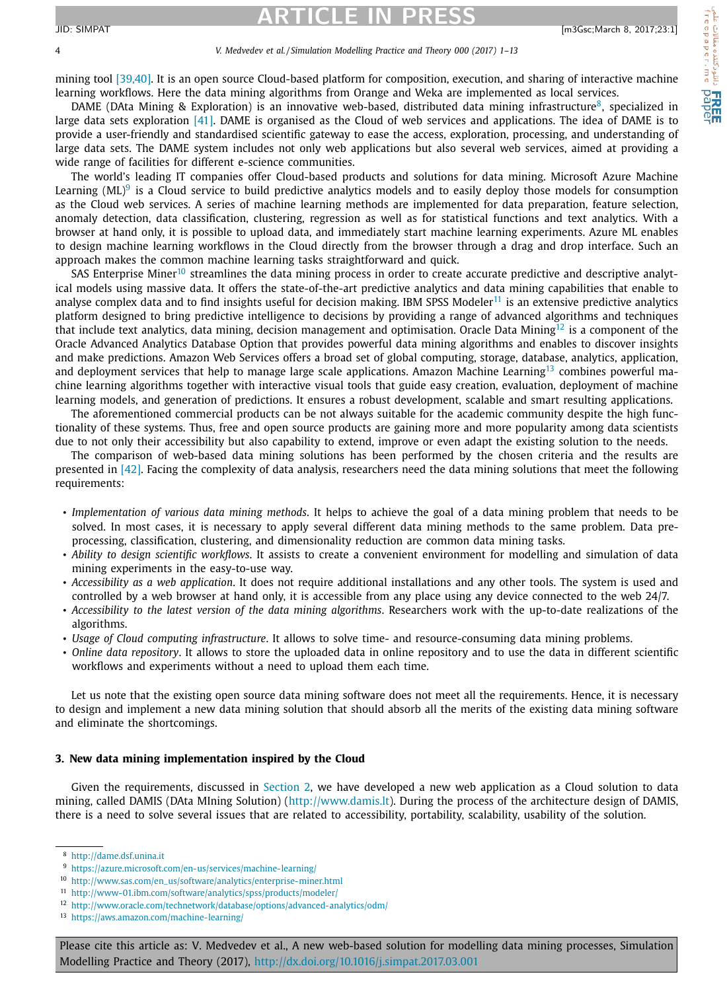mining tool [\[39,40\].](#page-11-0) It is an open source Cloud-based platform for composition, execution, and sharing of interactive machine learning workflows. Here the data mining algorithms from Orange and Weka are implemented as local services.

DAME (DAta Mining & Exploration) is an innovative web-based, distributed data mining infrastructure<sup>8</sup>, specialized in large data sets exploration [\[41\].](#page-11-0) DAME is organised as the Cloud of web services and applications. The idea of DAME is to provide a user-friendly and standardised scientific gateway to ease the access, exploration, processing, and understanding of large data sets. The DAME system includes not only web applications but also several web services, aimed at providing a wide range of facilities for different e-science communities.

The world's leading IT companies offer Cloud-based products and solutions for data mining. Microsoft Azure Machine Learning  $(ML)^9$  is a Cloud service to build predictive analytics models and to easily deploy those models for consumption as the Cloud web services. A series of machine learning methods are implemented for data preparation, feature selection, anomaly detection, data classification, clustering, regression as well as for statistical functions and text analytics. With a browser at hand only, it is possible to upload data, and immediately start machine learning experiments. Azure ML enables to design machine learning workflows in the Cloud directly from the browser through a drag and drop interface. Such an approach makes the common machine learning tasks straightforward and quick.

SAS Enterprise Miner<sup>10</sup> streamlines the data mining process in order to create accurate predictive and descriptive analytical models using massive data. It offers the state-of-the-art predictive analytics and data mining capabilities that enable to analyse complex data and to find insights useful for decision making. IBM SPSS Modeler<sup>11</sup> is an extensive predictive analytics platform designed to bring predictive intelligence to decisions by providing a range of advanced algorithms and techniques that include text analytics, data mining, decision management and optimisation. Oracle Data Mining<sup>12</sup> is a component of the Oracle Advanced Analytics Database Option that provides powerful data mining algorithms and enables to discover insights and make predictions. Amazon Web Services offers a broad set of global computing, storage, database, analytics, application, and deployment services that help to manage large scale applications. Amazon Machine Learning<sup>13</sup> combines powerful machine learning algorithms together with interactive visual tools that guide easy creation, evaluation, deployment of machine learning models, and generation of predictions. It ensures a robust development, scalable and smart resulting applications.

The aforementioned commercial products can be not always suitable for the academic community despite the high functionality of these systems. Thus, free and open source products are gaining more and more popularity among data scientists due to not only their accessibility but also capability to extend, improve or even adapt the existing solution to the needs.

The comparison of web-based data mining solutions has been performed by the chosen criteria and the results are presented in [\[42\].](#page-11-0) Facing the complexity of data analysis, researchers need the data mining solutions that meet the following requirements:

- *Implementation of various data mining methods*. It helps to achieve the goal of a data mining problem that needs to be solved. In most cases, it is necessary to apply several different data mining methods to the same problem. Data preprocessing, classification, clustering, and dimensionality reduction are common data mining tasks.
- *Ability to design scientific workflows*. It assists to create a convenient environment for modelling and simulation of data mining experiments in the easy-to-use way.
- *Accessibility as a web application*. It does not require additional installations and any other tools. The system is used and controlled by a web browser at hand only, it is accessible from any place using any device connected to the web 24/7.
- *Accessibility to the latest version of the data mining algorithms*. Researchers work with the up-to-date realizations of the algorithms.
- *Usage of Cloud computing infrastructure*. It allows to solve time- and resource-consuming data mining problems.
- *Online data repository*. It allows to store the uploaded data in online repository and to use the data in different scientific workflows and experiments without a need to upload them each time.

Let us note that the existing open source data mining software does not meet all the requirements. Hence, it is necessary to design and implement a new data mining solution that should absorb all the merits of the existing data mining software and eliminate the shortcomings.

#### **3. New data mining implementation inspired by the Cloud**

Given the requirements, discussed in [Section](#page-1-0) 2, we have developed a new web application as a Cloud solution to data mining, called DAMIS (DAta MIning Solution) [\(http://www.damis.lt\)](http://www.damis.lt). During the process of the architecture design of DAMIS, there is a need to solve several issues that are related to accessibility, portability, scalability, usability of the solution.

<span id="page-3-0"></span>

<sup>8</sup> <http://dame.dsf.unina.it>

<sup>9</sup> <https://azure.microsoft.com/en-us/services/machine-learning/>

<sup>10</sup> [http://www.sas.com/en\\_us/software/analytics/enterprise-miner.html](http://www.sas.com/en_us/software/analytics/enterprise-miner.html)

<sup>11</sup> <http://www-01.ibm.com/software/analytics/spss/products/modeler/>

<sup>12</sup> <http://www.oracle.com/technetwork/database/options/advanced-analytics/odm/>

<sup>13</sup> <https://aws.amazon.com/machine-learning/>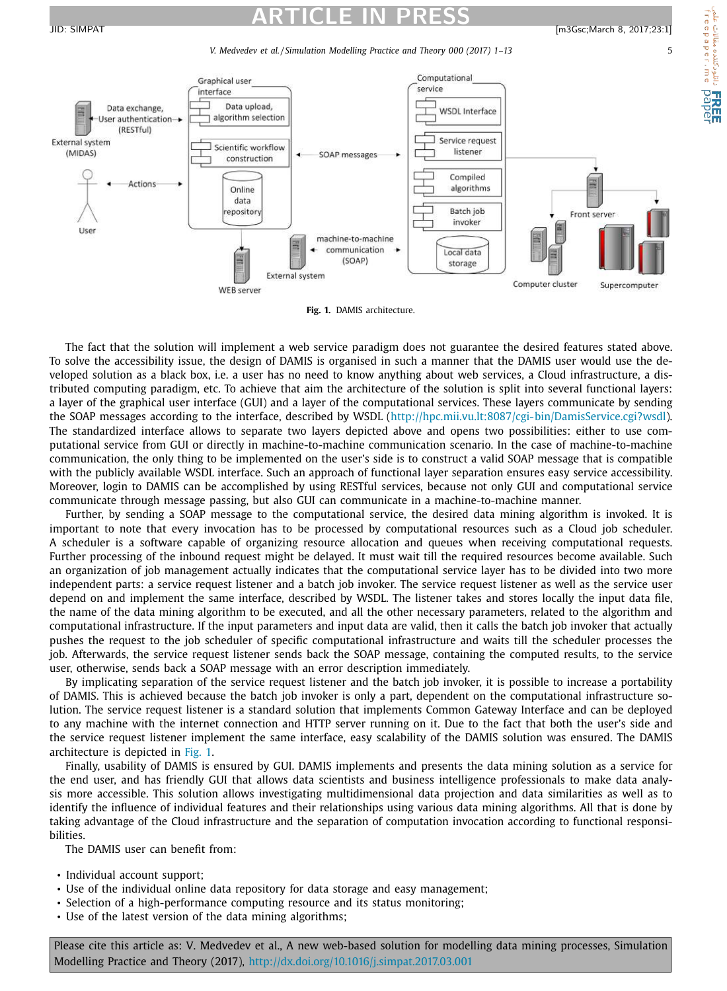*V. Medvedev et al. / Simulation Modelling Practice and Theory 000 (2017) 1–13* 5



**Fig. 1.** DAMIS architecture.

The fact that the solution will implement a web service paradigm does not guarantee the desired features stated above. To solve the accessibility issue, the design of DAMIS is organised in such a manner that the DAMIS user would use the developed solution as a black box, i.e. a user has no need to know anything about web services, a Cloud infrastructure, a distributed computing paradigm, etc. To achieve that aim the architecture of the solution is split into several functional layers: a layer of the graphical user interface (GUI) and a layer of the computational services. These layers communicate by sending the SOAP messages according to the interface, described by WSDL [\(http://hpc.mii.vu.lt:8087/cgi-bin/DamisService.cgi?wsdl\)](http://hpc.mii.vu.lt:8087/cgi-bin/DamisService.cgi?wsdl). The standardized interface allows to separate two layers depicted above and opens two possibilities: either to use computational service from GUI or directly in machine-to-machine communication scenario. In the case of machine-to-machine communication, the only thing to be implemented on the user's side is to construct a valid SOAP message that is compatible with the publicly available WSDL interface. Such an approach of functional layer separation ensures easy service accessibility. Moreover, login to DAMIS can be accomplished by using RESTful services, because not only GUI and computational service communicate through message passing, but also GUI can communicate in a machine-to-machine manner.

Further, by sending a SOAP message to the computational service, the desired data mining algorithm is invoked. It is important to note that every invocation has to be processed by computational resources such as a Cloud job scheduler. A scheduler is a software capable of organizing resource allocation and queues when receiving computational requests. Further processing of the inbound request might be delayed. It must wait till the required resources become available. Such an organization of job management actually indicates that the computational service layer has to be divided into two more independent parts: a service request listener and a batch job invoker. The service request listener as well as the service user depend on and implement the same interface, described by WSDL. The listener takes and stores locally the input data file, the name of the data mining algorithm to be executed, and all the other necessary parameters, related to the algorithm and computational infrastructure. If the input parameters and input data are valid, then it calls the batch job invoker that actually pushes the request to the job scheduler of specific computational infrastructure and waits till the scheduler processes the job. Afterwards, the service request listener sends back the SOAP message, containing the computed results, to the service user, otherwise, sends back a SOAP message with an error description immediately.

By implicating separation of the service request listener and the batch job invoker, it is possible to increase a portability of DAMIS. This is achieved because the batch job invoker is only a part, dependent on the computational infrastructure solution. The service request listener is a standard solution that implements Common Gateway Interface and can be deployed to any machine with the internet connection and HTTP server running on it. Due to the fact that both the user's side and the service request listener implement the same interface, easy scalability of the DAMIS solution was ensured. The DAMIS architecture is depicted in Fig. 1.

Finally, usability of DAMIS is ensured by GUI. DAMIS implements and presents the data mining solution as a service for the end user, and has friendly GUI that allows data scientists and business intelligence professionals to make data analysis more accessible. This solution allows investigating multidimensional data projection and data similarities as well as to identify the influence of individual features and their relationships using various data mining algorithms. All that is done by taking advantage of the Cloud infrastructure and the separation of computation invocation according to functional responsibilities.

The DAMIS user can benefit from:

- Individual account support;
- Use of the individual online data repository for data storage and easy management;
- Selection of a high-performance computing resource and its status monitoring;
- Use of the latest version of the data mining algorithms;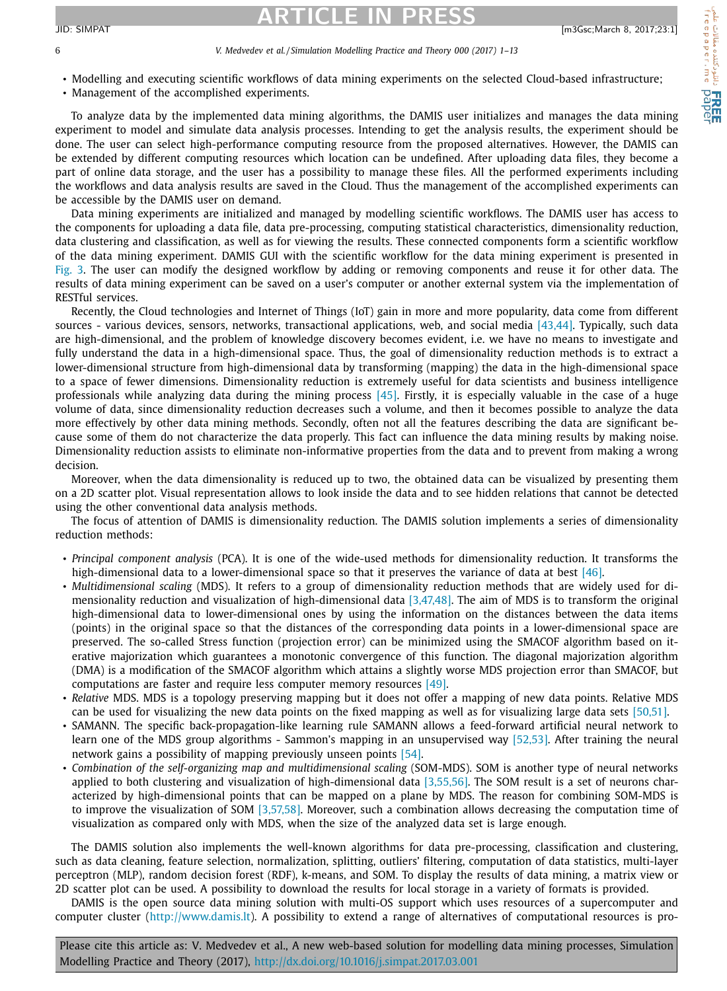6 *V. Medvedev et al. / Simulation Modelling Practice and Theory 000 (2017) 1–13*

- Modelling and executing scientific workflows of data mining experiments on the selected Cloud-based infrastructure;
- Management of the accomplished experiments.

To analyze data by the implemented data mining algorithms, the DAMIS user initializes and manages the data mining experiment to model and simulate data analysis processes. Intending to get the analysis results, the experiment should be done. The user can select high-performance computing resource from the proposed alternatives. However, the DAMIS can be extended by different computing resources which location can be undefined. After uploading data files, they become a part of online data storage, and the user has a possibility to manage these files. All the performed experiments including the workflows and data analysis results are saved in the Cloud. Thus the management of the accomplished experiments can be accessible by the DAMIS user on demand.

Data mining experiments are initialized and managed by modelling scientific workflows. The DAMIS user has access to the components for uploading a data file, data pre-processing, computing statistical characteristics, dimensionality reduction, data clustering and classification, as well as for viewing the results. These connected components form a scientific workflow of the data mining experiment. DAMIS GUI with the scientific workflow for the data mining experiment is presented in [Fig.](#page-7-0) 3. The user can modify the designed workflow by adding or removing components and reuse it for other data. The results of data mining experiment can be saved on a user's computer or another external system via the implementation of RESTful services.

Recently, the Cloud technologies and Internet of Things (IoT) gain in more and more popularity, data come from different sources - various devices, sensors, networks, transactional applications, web, and social media [\[43,44\].](#page-11-0) Typically, such data are high-dimensional, and the problem of knowledge discovery becomes evident, i.e. we have no means to investigate and fully understand the data in a high-dimensional space. Thus, the goal of dimensionality reduction methods is to extract a lower-dimensional structure from high-dimensional data by transforming (mapping) the data in the high-dimensional space to a space of fewer dimensions. Dimensionality reduction is extremely useful for data scientists and business intelligence professionals while analyzing data during the mining process [\[45\].](#page-11-0) Firstly, it is especially valuable in the case of a huge volume of data, since dimensionality reduction decreases such a volume, and then it becomes possible to analyze the data more effectively by other data mining methods. Secondly, often not all the features describing the data are significant because some of them do not characterize the data properly. This fact can influence the data mining results by making noise. Dimensionality reduction assists to eliminate non-informative properties from the data and to prevent from making a wrong decision.

Moreover, when the data dimensionality is reduced up to two, the obtained data can be visualized by presenting them on a 2D scatter plot. Visual representation allows to look inside the data and to see hidden relations that cannot be detected using the other conventional data analysis methods.

The focus of attention of DAMIS is dimensionality reduction. The DAMIS solution implements a series of dimensionality reduction methods:

- *Principal component analysis* (PCA). It is one of the wide-used methods for dimensionality reduction. It transforms the high-dimensional data to a lower-dimensional space so that it preserves the variance of data at best [\[46\].](#page-11-0)
- *Multidimensional scaling* (MDS). It refers to a group of dimensionality reduction methods that are widely used for dimensionality reduction and visualization of high-dimensional data [\[3,47,48\].](#page-10-0) The aim of MDS is to transform the original high-dimensional data to lower-dimensional ones by using the information on the distances between the data items (points) in the original space so that the distances of the corresponding data points in a lower-dimensional space are preserved. The so-called Stress function (projection error) can be minimized using the SMACOF algorithm based on iterative majorization which guarantees a monotonic convergence of this function. The diagonal majorization algorithm (DMA) is a modification of the SMACOF algorithm which attains a slightly worse MDS projection error than SMACOF, but computations are faster and require less computer memory resources [\[49\].](#page-12-0)
- *Relative* MDS. MDS is a topology preserving mapping but it does not offer a mapping of new data points. Relative MDS can be used for visualizing the new data points on the fixed mapping as well as for visualizing large data sets [\[50,51\].](#page-12-0)
- SAMANN. The specific back-propagation-like learning rule SAMANN allows a feed-forward artificial neural network to learn one of the MDS group algorithms - Sammon's mapping in an unsupervised way [\[52,53\].](#page-12-0) After training the neural network gains a possibility of mapping previously unseen points [\[54\].](#page-12-0)
- *Combination of the self-organizing map and multidimensional scaling* (SOM-MDS). SOM is another type of neural networks applied to both clustering and visualization of high-dimensional data  $[3,55,56]$ . The SOM result is a set of neurons characterized by high-dimensional points that can be mapped on a plane by MDS. The reason for combining SOM-MDS is to improve the visualization of SOM [\[3,57,58\].](#page-10-0) Moreover, such a combination allows decreasing the computation time of visualization as compared only with MDS, when the size of the analyzed data set is large enough.

The DAMIS solution also implements the well-known algorithms for data pre-processing, classification and clustering, such as data cleaning, feature selection, normalization, splitting, outliers' filtering, computation of data statistics, multi-layer perceptron (MLP), random decision forest (RDF), k-means, and SOM. To display the results of data mining, a matrix view or 2D scatter plot can be used. A possibility to download the results for local storage in a variety of formats is provided.

DAMIS is the open source data mining solution with multi-OS support which uses resources of a supercomputer and computer cluster [\(http://www.damis.lt\)](http://www.damis.lt). A possibility to extend a range of alternatives of computational resources is pro-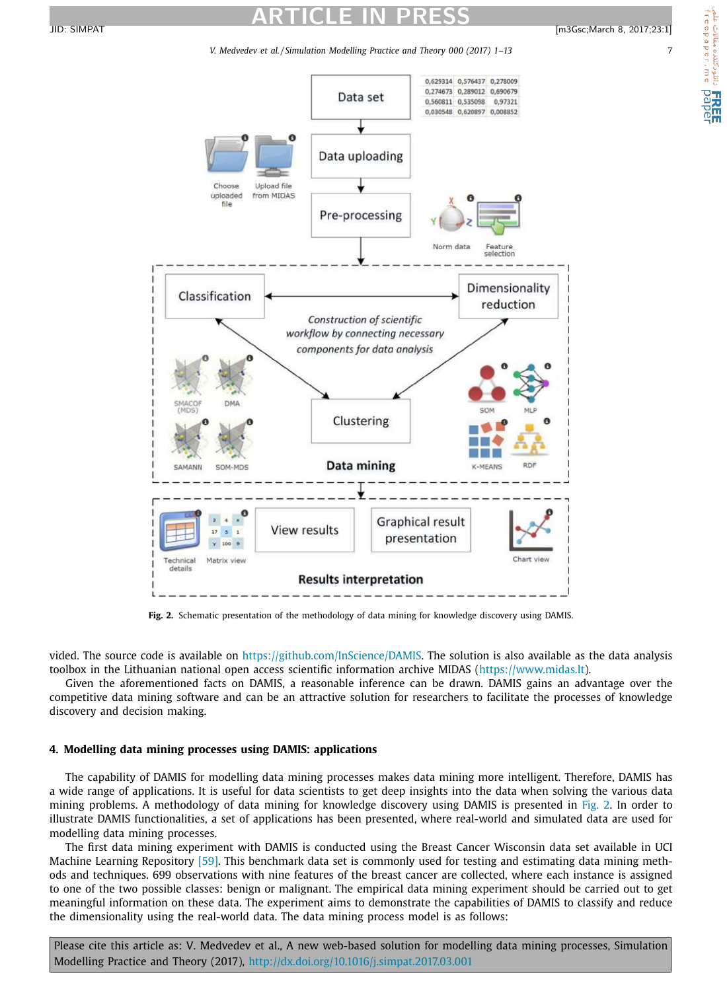<span id="page-6-0"></span>

*V. Medvedev et al. / Simulation Modelling Practice and Theory 000 (2017) 1–13* 7



**Fig. 2.** Schematic presentation of the methodology of data mining for knowledge discovery using DAMIS.

vided. The source code is available on [https://github.com/InScience/DAMIS.](https://github.com/InScience/DAMIS) The solution is also available as the data analysis toolbox in the Lithuanian national open access scientific information archive MIDAS [\(https://www.midas.lt\)](https://www.midas.lt).

Given the aforementioned facts on DAMIS, a reasonable inference can be drawn. DAMIS gains an advantage over the competitive data mining software and can be an attractive solution for researchers to facilitate the processes of knowledge discovery and decision making.

#### **4. Modelling data mining processes using DAMIS: applications**

The capability of DAMIS for modelling data mining processes makes data mining more intelligent. Therefore, DAMIS has a wide range of applications. It is useful for data scientists to get deep insights into the data when solving the various data mining problems. A methodology of data mining for knowledge discovery using DAMIS is presented in Fig. 2. In order to illustrate DAMIS functionalities, a set of applications has been presented, where real-world and simulated data are used for modelling data mining processes.

The first data mining experiment with DAMIS is conducted using the Breast Cancer Wisconsin data set available in UCI Machine Learning Repository [\[59\].](#page-12-0) This benchmark data set is commonly used for testing and estimating data mining methods and techniques. 699 observations with nine features of the breast cancer are collected, where each instance is assigned to one of the two possible classes: benign or malignant. The empirical data mining experiment should be carried out to get meaningful information on these data. The experiment aims to demonstrate the capabilities of DAMIS to classify and reduce the dimensionality using the real-world data. The data mining process model is as follows:

Please cite this article as: V. Medvedev et al., A new web-based solution for modelling data mining processes, Simulation Modelling Practice and Theory (2017), <http://dx.doi.org/10.1016/j.simpat.2017.03.001>

دانلودکننده مقالات علمی<br>freepaper.me

**FREE**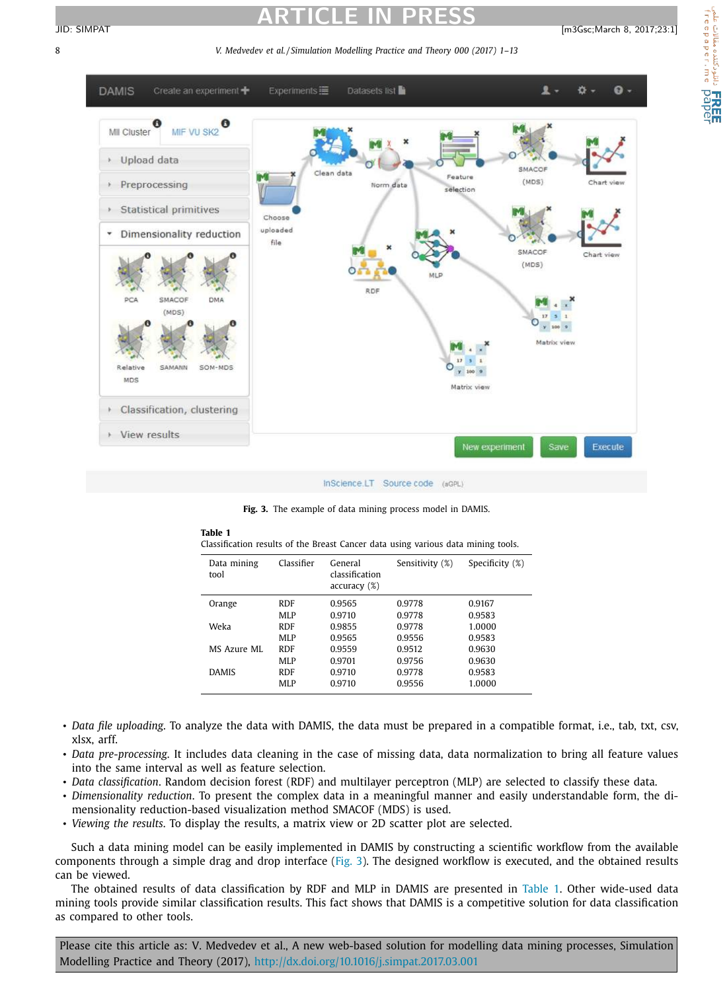<span id="page-7-0"></span>JID: SIMPAT [m3Gsc;March 8, 2017;23:1]

8 *V. Medvedev et al. / Simulation Modelling Practice and Theory 000 (2017) 1–13*



InScience.LT Source code (aGPL)

**Fig. 3.** The example of data mining process model in DAMIS.

| Table 1             |            |                           | Classification results of the Breast Cancer data using various data mining tools. |                 |
|---------------------|------------|---------------------------|-----------------------------------------------------------------------------------|-----------------|
| Data mining<br>tool | Classifier | General<br>classification | Sensitivity (%)                                                                   | Specificity (%) |

| tool         |            | classification<br>accuracy (%) |        |        |
|--------------|------------|--------------------------------|--------|--------|
| Orange       | <b>RDF</b> | 0.9565                         | 0.9778 | 0.9167 |
|              | MLP        | 0.9710                         | 0.9778 | 0.9583 |
| Weka         | <b>RDF</b> | 0.9855                         | 0.9778 | 1.0000 |
|              | MLP        | 0.9565                         | 0.9556 | 0.9583 |
| MS Azure ML  | <b>RDF</b> | 0.9559                         | 0.9512 | 0.9630 |
|              | MLP        | 0.9701                         | 0.9756 | 0.9630 |
| <b>DAMIS</b> | <b>RDF</b> | 0.9710                         | 0.9778 | 0.9583 |
|              | MLP        | 0.9710                         | 0.9556 | 1.0000 |

- *Data file uploading*. To analyze the data with DAMIS, the data must be prepared in a compatible format, i.e., tab, txt, csv, xlsx, arff.
- *Data pre-processing*. It includes data cleaning in the case of missing data, data normalization to bring all feature values into the same interval as well as feature selection.
- *Data classification*. Random decision forest (RDF) and multilayer perceptron (MLP) are selected to classify these data.
- *Dimensionality reduction*. To present the complex data in a meaningful manner and easily understandable form, the dimensionality reduction-based visualization method SMACOF (MDS) is used.
- *Viewing the results*. To display the results, a matrix view or 2D scatter plot are selected.

Such a data mining model can be easily implemented in DAMIS by constructing a scientific workflow from the available components through a simple drag and drop interface (Fig. 3). The designed workflow is executed, and the obtained results can be viewed.

The obtained results of data classification by RDF and MLP in DAMIS are presented in Table 1. Other wide-used data mining tools provide similar classification results. This fact shows that DAMIS is a competitive solution for data classification as compared to other tools.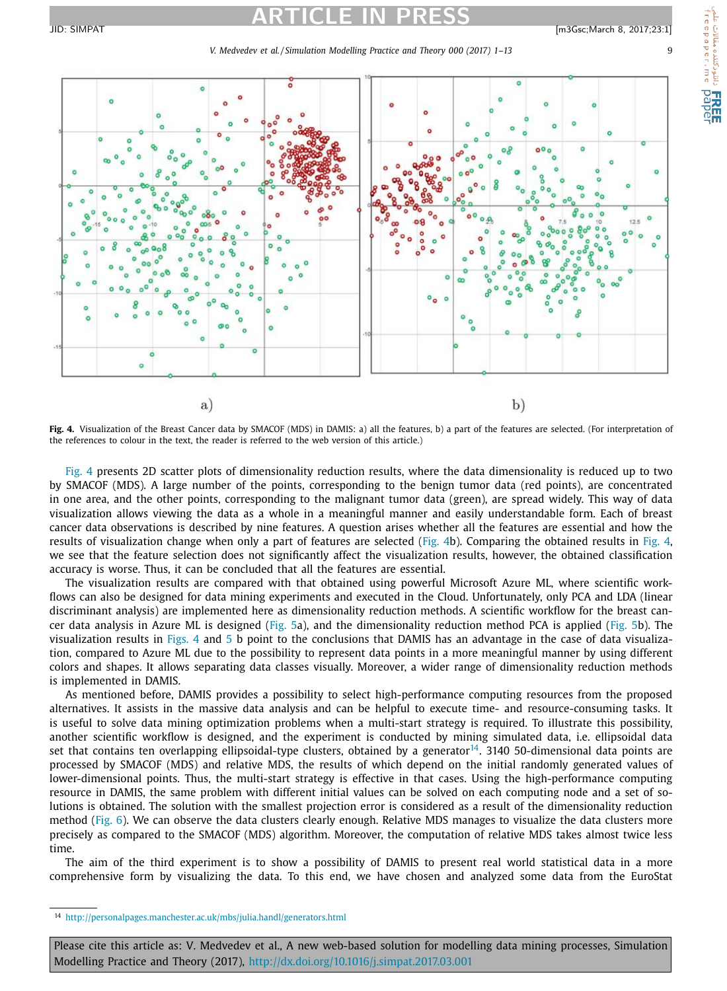



Fig. 4. Visualization of the Breast Cancer data by SMACOF (MDS) in DAMIS: a) all the features, b) a part of the features are selected. (For interpretation of the references to colour in the text, the reader is referred to the web version of this article.)

Fig. 4 presents 2D scatter plots of dimensionality reduction results, where the data dimensionality is reduced up to two by SMACOF (MDS). A large number of the points, corresponding to the benign tumor data (red points), are concentrated in one area, and the other points, corresponding to the malignant tumor data (green), are spread widely. This way of data visualization allows viewing the data as a whole in a meaningful manner and easily understandable form. Each of breast cancer data observations is described by nine features. A question arises whether all the features are essential and how the results of visualization change when only a part of features are selected (Fig. 4b). Comparing the obtained results in Fig. 4, we see that the feature selection does not significantly affect the visualization results, however, the obtained classification accuracy is worse. Thus, it can be concluded that all the features are essential.

The visualization results are compared with that obtained using powerful Microsoft Azure ML, where scientific workflows can also be designed for data mining experiments and executed in the Cloud. Unfortunately, only PCA and LDA (linear discriminant analysis) are implemented here as dimensionality reduction methods. A scientific workflow for the breast cancer data analysis in Azure ML is designed [\(Fig.](#page-9-0) 5a), and the dimensionality reduction method PCA is applied [\(Fig.](#page-9-0) 5b). The visualization results in Figs. 4 and [5](#page-9-0) b point to the conclusions that DAMIS has an advantage in the case of data visualization, compared to Azure ML due to the possibility to represent data points in a more meaningful manner by using different colors and shapes. It allows separating data classes visually. Moreover, a wider range of dimensionality reduction methods is implemented in DAMIS.

As mentioned before, DAMIS provides a possibility to select high-performance computing resources from the proposed alternatives. It assists in the massive data analysis and can be helpful to execute time- and resource-consuming tasks. It is useful to solve data mining optimization problems when a multi-start strategy is required. To illustrate this possibility, another scientific workflow is designed, and the experiment is conducted by mining simulated data, i.e. ellipsoidal data set that contains ten overlapping ellipsoidal-type clusters, obtained by a generator<sup>14</sup>. 3140 50-dimensional data points are processed by SMACOF (MDS) and relative MDS, the results of which depend on the initial randomly generated values of lower-dimensional points. Thus, the multi-start strategy is effective in that cases. Using the high-performance computing resource in DAMIS, the same problem with different initial values can be solved on each computing node and a set of solutions is obtained. The solution with the smallest projection error is considered as a result of the dimensionality reduction method [\(Fig.](#page-9-0) 6). We can observe the data clusters clearly enough. Relative MDS manages to visualize the data clusters more precisely as compared to the SMACOF (MDS) algorithm. Moreover, the computation of relative MDS takes almost twice less time.

The aim of the third experiment is to show a possibility of DAMIS to present real world statistical data in a more comprehensive form by visualizing the data. To this end, we have chosen and analyzed some data from the EuroStat

<sup>14</sup> <http://personalpages.manchester.ac.uk/mbs/julia.handl/generators.html>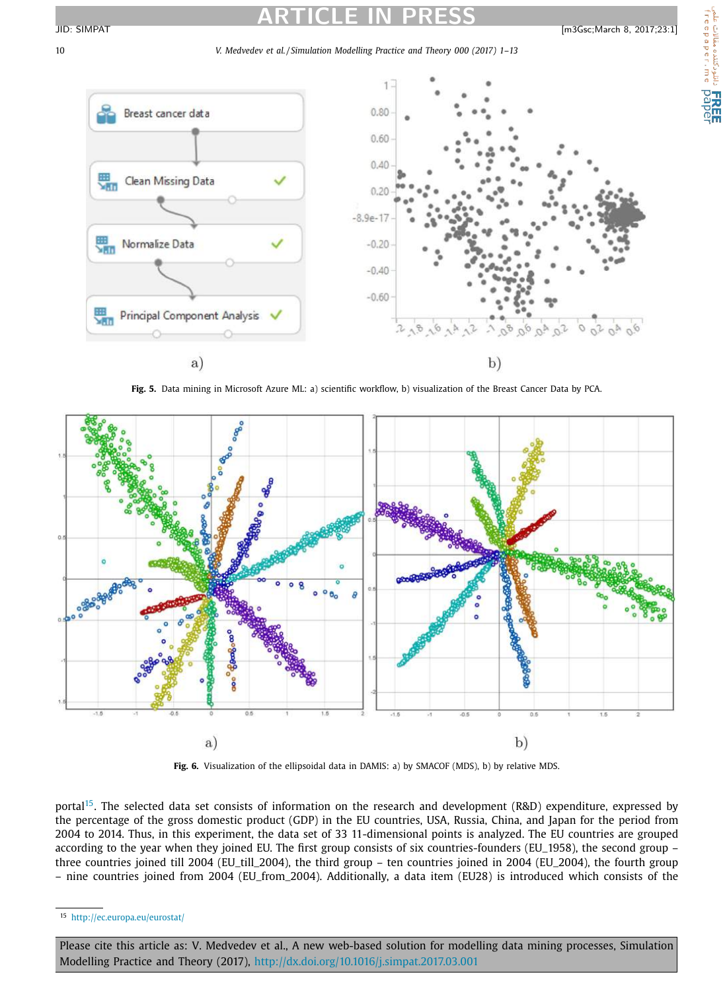<span id="page-9-0"></span>

دانلودکننده مقالات علم<br>freepaper.me

**FREE** 

**Fig. 5.** Data mining in Microsoft Azure ML: a) scientific workflow, b) visualization of the Breast Cancer Data by PCA.



**Fig. 6.** Visualization of the ellipsoidal data in DAMIS: a) by SMACOF (MDS), b) by relative MDS.

portal<sup>15</sup>. The selected data set consists of information on the research and development (R&D) expenditure, expressed by the percentage of the gross domestic product (GDP) in the EU countries, USA, Russia, China, and Japan for the period from 2004 to 2014. Thus, in this experiment, the data set of 33 11-dimensional points is analyzed. The EU countries are grouped according to the year when they joined EU. The first group consists of six countries-founders (EU\_1958), the second group – three countries joined till 2004 (EU\_till\_2004), the third group – ten countries joined in 2004 (EU\_2004), the fourth group – nine countries joined from 2004 (EU\_from\_2004). Additionally, a data item (EU28) is introduced which consists of the

<sup>15</sup> <http://ec.europa.eu/eurostat/>

Please cite this article as: V. Medvedev et al., A new web-based solution for modelling data mining processes, Simulation Modelling Practice and Theory (2017), <http://dx.doi.org/10.1016/j.simpat.2017.03.001>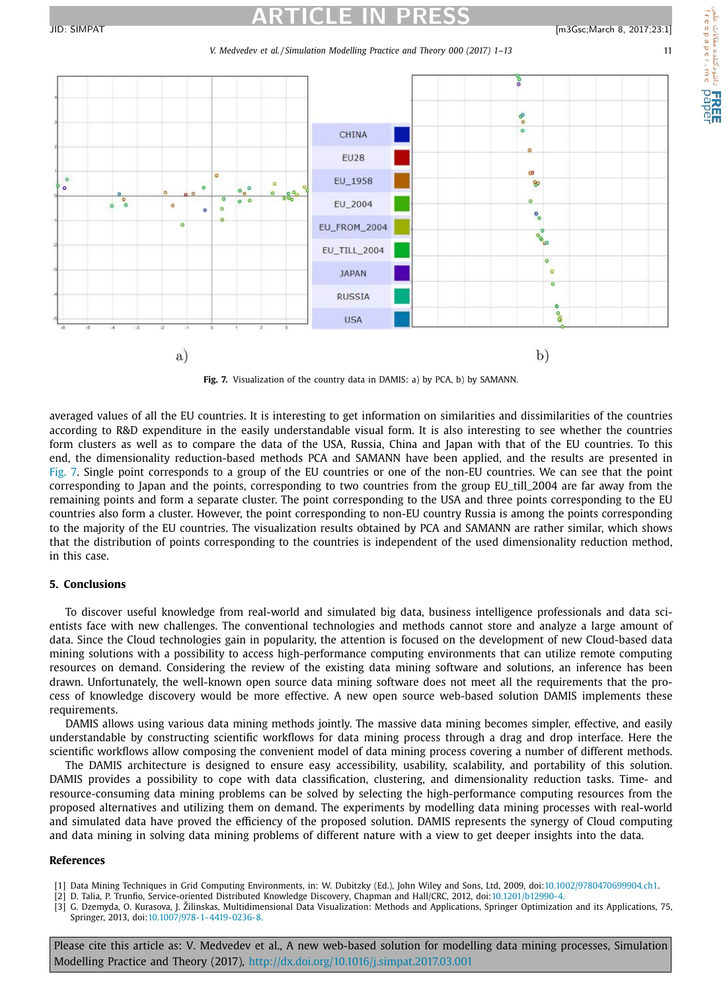<span id="page-10-0"></span>

**Fig. 7.** Visualization of the country data in DAMIS: a) by PCA, b) by SAMANN.

averaged values of all the EU countries. It is interesting to get information on similarities and dissimilarities of the countries according to R&D expenditure in the easily understandable visual form. It is also interesting to see whether the countries form clusters as well as to compare the data of the USA, Russia, China and Japan with that of the EU countries. To this end, the dimensionality reduction-based methods PCA and SAMANN have been applied, and the results are presented in Fig. 7. Single point corresponds to a group of the EU countries or one of the non-EU countries. We can see that the point corresponding to Japan and the points, corresponding to two countries from the group EU\_till\_2004 are far away from the remaining points and form a separate cluster. The point corresponding to the USA and three points corresponding to the EU countries also form a cluster. However, the point corresponding to non-EU country Russia is among the points corresponding to the majority of the EU countries. The visualization results obtained by PCA and SAMANN are rather similar, which shows that the distribution of points corresponding to the countries is independent of the used dimensionality reduction method, in this case.

#### **5. Conclusions**

To discover useful knowledge from real-world and simulated big data, business intelligence professionals and data scientists face with new challenges. The conventional technologies and methods cannot store and analyze a large amount of data. Since the Cloud technologies gain in popularity, the attention is focused on the development of new Cloud-based data mining solutions with a possibility to access high-performance computing environments that can utilize remote computing resources on demand. Considering the review of the existing data mining software and solutions, an inference has been drawn. Unfortunately, the well-known open source data mining software does not meet all the requirements that the process of knowledge discovery would be more effective. A new open source web-based solution DAMIS implements these requirements.

DAMIS allows using various data mining methods jointly. The massive data mining becomes simpler, effective, and easily understandable by constructing scientific workflows for data mining process through a drag and drop interface. Here the scientific workflows allow composing the convenient model of data mining process covering a number of different methods.

The DAMIS architecture is designed to ensure easy accessibility, usability, scalability, and portability of this solution. DAMIS provides a possibility to cope with data classification, clustering, and dimensionality reduction tasks. Time- and resource-consuming data mining problems can be solved by selecting the high-performance computing resources from the proposed alternatives and utilizing them on demand. The experiments by modelling data mining processes with real-world and simulated data have proved the efficiency of the proposed solution. DAMIS represents the synergy of Cloud computing and data mining in solving data mining problems of different nature with a view to get deeper insights into the data.

#### **References**

<sup>[1]</sup> Data Mining Techniques in Grid Computing Environments, in: W. Dubitzky (Ed.), John Wiley and Sons, Ltd, 2009, doi[:10.1002/9780470699904.ch1.](http://dx.doi.org/10.1002/9780470699904.ch1)

<sup>[2]</sup> D. Talia, P. Trunfio, Service-oriented Distributed Knowledge Discovery, Chapman and Hall/CRC, 2012, doi[:10.1201/b12990-4.](http://dx.doi.org/10.1201/b12990-4)

<sup>[3]</sup> G. Dzemyda, O. Kurasova, J. Žilinskas, Multidimensional Data Visualization: Methods and Applications, Springer Optimization and its Applications, 75, Springer, 2013, doi[:10.1007/978-1-4419-0236-8.](http://dx.doi.org/10.1007/978-1-4419-0236-8)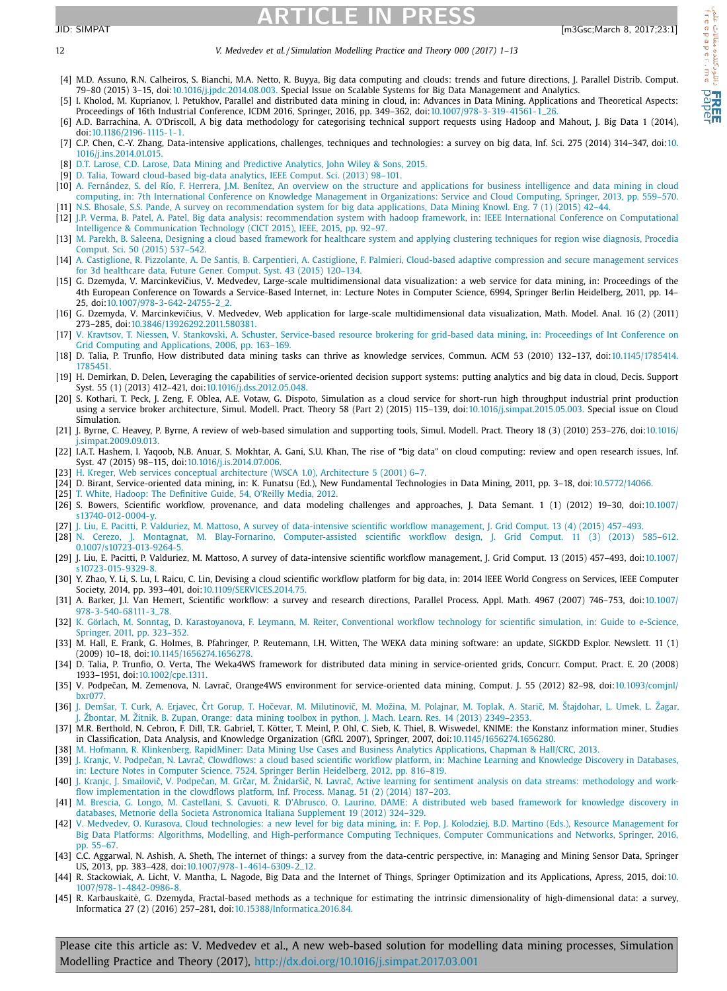<span id="page-11-0"></span>

دانلودکننده مقالات علمی<br>freepaper.me

**FREE**<br>Daper

- 12 *V. Medvedev et al. / Simulation Modelling Practice and Theory 000 (2017) 1–13*
- [4] M.D. Assuno, R.N. Calheiros, S. Bianchi, M.A. Netto, R. Buyya, Big data computing and clouds: trends and future directions, J. Parallel Distrib. Comput. 79–80 (2015) 3–15, doi[:10.1016/j.jpdc.2014.08.003.](http://dx.doi.org/10.1016/j.jpdc.2014.08.003) Special Issue on Scalable Systems for Big Data Management and Analytics.
- [5] I. Kholod, M. Kuprianov, I. Petukhov, Parallel and distributed data mining in cloud, in: Advances in Data Mining. Applications and Theoretical Aspects: Proceedings of 16th Industrial Conference, ICDM 2016, Springer, 2016, pp. 349–362, doi[:10.1007/978-3-319-41561-1\\_26.](http://dx.doi.org/10.1007/978-3-319-41561-1_26)
- [6] A.D. Barrachina, A. O'Driscoll, A big data methodology for categorising technical support requests using Hadoop and Mahout, J. Big Data 1 (2014), doi[:10.1186/2196-1115-1-1.](http://dx.doi.org/10.1186/2196-1115-1-1)
- [7] C.P. Chen, C.-Y. Zhang, Data-intensive applications, challenges, techniques and technologies: a survey on big data, Inf. Sci. 275 (2014) 314–347, doi:10. [1016/j.ins.2014.01.015.](http://dx.doi.org/10.1016/j.ins.2014.01.015)
- [8] D.T. [Larose,](http://refhub.elsevier.com/S1569-190X(17)30048-5/sbref0008) C.D. [Larose,](http://refhub.elsevier.com/S1569-190X(17)30048-5/sbref0008) Data Mining and [Predictive](http://refhub.elsevier.com/S1569-190X(17)30048-5/sbref0008) Analytics, John Wiley & Sons, 2015.
- [9] D. [Talia,](http://refhub.elsevier.com/S1569-190X(17)30048-5/sbref0009) Toward [cloud-based](http://refhub.elsevier.com/S1569-190X(17)30048-5/sbref0009) big-data analytics, IEEE Comput. Sci. (2013) 98–101.
- [10] A. [Fernández,](http://refhub.elsevier.com/S1569-190X(17)30048-5/sbref0010) S. del [Río,](http://refhub.elsevier.com/S1569-190X(17)30048-5/sbref0010) F. [Herrera,](http://refhub.elsevier.com/S1569-190X(17)30048-5/sbref0010) J.M. [Benítez,](http://refhub.elsevier.com/S1569-190X(17)30048-5/sbref0010) An overview on the structure and applications for business intelligence and data mining in cloud computing, in: 7th International Conference on Knowledge Management in [Organizations:](http://refhub.elsevier.com/S1569-190X(17)30048-5/sbref0010) Service and Cloud Computing, Springer, 2013, pp. 559–570. [11] N.S. [Bhosale,](http://refhub.elsevier.com/S1569-190X(17)30048-5/sbref0011) S.S. [Pande,](http://refhub.elsevier.com/S1569-190X(17)30048-5/sbref0011) A survey on [recommendation](http://refhub.elsevier.com/S1569-190X(17)30048-5/sbref0011) system for big data applications, Data Mining Knowl. Eng. 7 (1) (2015) 42–44.
- [12] J.P. [Verma,](http://refhub.elsevier.com/S1569-190X(17)30048-5/sbref0012) B. [Patel,](http://refhub.elsevier.com/S1569-190X(17)30048-5/sbref0012) A. [Patel,](http://refhub.elsevier.com/S1569-190X(17)30048-5/sbref0012) Big data analysis: [recommendation](http://refhub.elsevier.com/S1569-190X(17)30048-5/sbref0012) system with hadoop framework, in: IEEE International Conference on Computational Intelligence & Communication Technology (CICT 2015), IEEE, 2015, pp. 92–97.
- [13] M. [Parekh,](http://refhub.elsevier.com/S1569-190X(17)30048-5/sbref0013) B. [Saleena,](http://refhub.elsevier.com/S1569-190X(17)30048-5/sbref0013) Designing a cloud based [framework](http://refhub.elsevier.com/S1569-190X(17)30048-5/sbref0013) for healthcare system and applying clustering techniques for region wise diagnosis, Procedia Comput. Sci. 50 (2015) 537–542.
- [14] A. [Castiglione,](http://refhub.elsevier.com/S1569-190X(17)30048-5/sbref0014) R. [Pizzolante,](http://refhub.elsevier.com/S1569-190X(17)30048-5/sbref0014) A. De [Santis,](http://refhub.elsevier.com/S1569-190X(17)30048-5/sbref0014) B. [Carpentieri,](http://refhub.elsevier.com/S1569-190X(17)30048-5/sbref0014) A. [Castiglione,](http://refhub.elsevier.com/S1569-190X(17)30048-5/sbref0014) F. [Palmieri,](http://refhub.elsevier.com/S1569-190X(17)30048-5/sbref0014) Cloud-based adaptive compression and secure [management](http://refhub.elsevier.com/S1569-190X(17)30048-5/sbref0014) services for 3d healthcare data, Future Gener. Comput. Syst. 43 (2015) 120–134.
- [15] G. Dzemyda, V. Marcinkevičius, V. Medvedev, Large-scale multidimensional data visualization: a web service for data mining, in: Proceedings of the 4th European Conference on Towards a Service-Based Internet, in: Lecture Notes in Computer Science, 6994, Springer Berlin Heidelberg, 2011, pp. 14– 25, doi[:10.1007/978-3-642-24755-2\\_2.](http://dx.doi.org/10.1007/978-3-642-24755-2_2)
- [16] G. Dzemyda, V. Marcinkevičius, V. Medvedev, Web application for large-scale multidimensional data visualization, Math. Model. Anal. 16 (2) (2011) 273–285, doi[:10.3846/13926292.2011.580381.](http://dx.doi.org/10.3846/13926292.2011.580381)
- [17] V. [Kravtsov,](http://refhub.elsevier.com/S1569-190X(17)30048-5/sbref0017) T. [Niessen,](http://refhub.elsevier.com/S1569-190X(17)30048-5/sbref0017) V. [Stankovski,](http://refhub.elsevier.com/S1569-190X(17)30048-5/sbref0017) A. [Schuster,](http://refhub.elsevier.com/S1569-190X(17)30048-5/sbref0017) [Service-based](http://refhub.elsevier.com/S1569-190X(17)30048-5/sbref0017) resource brokering for grid-based data mining, in: Proceedings of Int Conference on Grid Computing and Applications, 2006, pp. 163–169.
- [18] D. Talia, P. Trunfio, How distributed data mining tasks can thrive as knowledge services, Commun. ACM 53 (2010) 132–137, [doi:10.1145/1785414.](http://dx.doi.org/10.1145/1785414.1785451) 1785451.
- [19] H. Demirkan, D. Delen, Leveraging the capabilities of service-oriented decision support systems: putting analytics and big data in cloud, Decis. Support Syst. 55 (1) (2013) 412–421, doi[:10.1016/j.dss.2012.05.048.](http://dx.doi.org/10.1016/j.dss.2012.05.048)
- [20] S. Kothari, T. Peck, J. Zeng, F. Oblea, A.E. Votaw, G. Dispoto, Simulation as a cloud service for short-run high throughput industrial print production using a service broker architecture, Simul. Modell. Pract. Theory 58 (Part 2) (2015) 115–139, doi[:10.1016/j.simpat.2015.05.003.](http://dx.doi.org/10.1016/j.simpat.2015.05.003) Special issue on Cloud Simulation.
- [21] J. Byrne, C. Heavey, P. Byrne, A review of web-based simulation and supporting tools, Simul. Modell. Pract. Theory 18 (3) (2010) 253–276, doi:10.1016/ [j.simpat.2009.09.013.](http://dx.doi.org/10.1016/j.simpat.2009.09.013)
- [22] I.A.T. Hashem, I. Yaqoob, N.B. Anuar, S. Mokhtar, A. Gani, S.U. Khan, The rise of "big data" on cloud computing: review and open research issues, Inf. Syst. 47 (2015) 98–115, doi[:10.1016/j.is.2014.07.006.](http://dx.doi.org/10.1016/j.is.2014.07.006)
- [23] H. [Kreger,](http://refhub.elsevier.com/S1569-190X(17)30048-5/sbref0023) Web services conceptual architecture (WSCA 1.0), [Architecture](http://refhub.elsevier.com/S1569-190X(17)30048-5/sbref0023) 5 (2001) 6–7.
- [24] D. Birant, Service-oriented data mining, in: K. Funatsu (Ed.), New Fundamental Technologies in Data Mining, 2011, pp. 3–18, doi[:10.5772/14066.](http://dx.doi.org/10.5772/14066)
- [25] T. [White,](http://refhub.elsevier.com/S1569-190X(17)30048-5/sbref0025) Hadoop: The [Definitive](http://refhub.elsevier.com/S1569-190X(17)30048-5/sbref0025) Guide, 54, O'Reilly Media, 2012.
- [26] S. Bowers, Scientific workflow, provenance, and data modeling challenges and approaches, J. Data Semant. 1 (1) (2012) 19–30, doi:10.1007/ [s13740-012-0004-y.](http://dx.doi.org/10.1007/s13740-012-0004-y)
- [27] J. [Liu,](http://refhub.elsevier.com/S1569-190X(17)30048-5/sbref0027) E. [Pacitti,](http://refhub.elsevier.com/S1569-190X(17)30048-5/sbref0027) P. [Valduriez,](http://refhub.elsevier.com/S1569-190X(17)30048-5/sbref0027) M. [Mattoso,](http://refhub.elsevier.com/S1569-190X(17)30048-5/sbref0027) A survey of [data-intensive](http://refhub.elsevier.com/S1569-190X(17)30048-5/sbref0027) scientific workflow management, J. Grid Comput. 13 (4) (2015) 457-493.
- [28] N. [Cerezo,](http://refhub.elsevier.com/S1569-190X(17)30048-5/sbref0028) J. [Montagnat,](http://refhub.elsevier.com/S1569-190X(17)30048-5/sbref0028) M. [Blay-Fornarino,](http://refhub.elsevier.com/S1569-190X(17)30048-5/sbref0028) [Computer-assisted](http://refhub.elsevier.com/S1569-190X(17)30048-5/sbref0028) scientific workflow design, J. Grid Comput. 11 (3) (2013) 585–612. [0.1007/s10723-013-9264-5.](http://refhub.elsevier.com/S1569-190X(17)30048-5/sbref0028)
- [29] J. Liu, E. Pacitti, P. Valduriez, M. Mattoso, A survey of data-intensive scientific workflow management, J. Grid Comput. 13 (2015) 457–493, doi:10.1007/ [s10723-015-9329-8.](http://dx.doi.org/10.1007/s10723-015-9329-8)
- [30] Y. Zhao, Y. Li, S. Lu, I. Raicu, C. Lin, Devising a cloud scientific workflow platform for big data, in: 2014 IEEE World Congress on Services, IEEE Computer Society, 2014, pp. 393–401, doi[:10.1109/SERVICES.2014.75.](http://dx.doi.org/10.1109/SERVICES.2014.75)
- [31] A. Barker, J.I. Van Hemert, Scientific workflow: a survey and research directions, Parallel Process. Appl. Math. 4967 (2007) 746–753, doi:10.1007/ [978-3-540-68111-3\\_78.](http://dx.doi.org/10.1007/978-3-540-68111-3_78)
- [32] K. [Görlach,](http://refhub.elsevier.com/S1569-190X(17)30048-5/sbref0032) M. [Sonntag,](http://refhub.elsevier.com/S1569-190X(17)30048-5/sbref0032) D. [Karastoyanova,](http://refhub.elsevier.com/S1569-190X(17)30048-5/sbref0032) F. [Leymann,](http://refhub.elsevier.com/S1569-190X(17)30048-5/sbref0032) M. [Reiter,](http://refhub.elsevier.com/S1569-190X(17)30048-5/sbref0032) Conventional workflow technology for scientific simulation, in: Guide to e-Science, Springer, 2011, pp. 323–352.
- [33] M. Hall, E. Frank, G. Holmes, B. Pfahringer, P. Reutemann, I.H. Witten, The WEKA data mining software: an update, SIGKDD Explor. Newslett. 11 (1) (2009) 10–18, doi[:10.1145/1656274.1656278.](http://dx.doi.org/10.1145/1656274.1656278)
- [34] D. Talia, P. Trunfio, O. Verta, The Weka4WS framework for distributed data mining in service-oriented grids, Concurr. Comput. Pract. E. 20 (2008) 1933–1951, doi[:10.1002/cpe.1311.](http://dx.doi.org/10.1002/cpe.1311)
- [35] V. Podpečan, M. Zemenova, N. Lavrač, Orange4WS environment for service-oriented data mining, Comput. J. 55 (2012) 82-98, [doi:10.1093/comjnl/](http://dx.doi.org/10.1093/comjnl/bxr077) bxr077.
- [36] J. [Demšar,](http://refhub.elsevier.com/S1569-190X(17)30048-5/sbref0036) T. [Curk,](http://refhub.elsevier.com/S1569-190X(17)30048-5/sbref0036) A. [Erjavec,](http://refhub.elsevier.com/S1569-190X(17)30048-5/sbref0036) Črt [Gorup,](http://refhub.elsevier.com/S1569-190X(17)30048-5/sbref0036) T. Hočevar, M. Milutinovič, M. [Možina,](http://refhub.elsevier.com/S1569-190X(17)30048-5/sbref0036) M. [Polajnar,](http://refhub.elsevier.com/S1569-190X(17)30048-5/sbref0036) M. [Toplak,](http://refhub.elsevier.com/S1569-190X(17)30048-5/sbref0036) A. Starič, M. [Štajdohar,](http://refhub.elsevier.com/S1569-190X(17)30048-5/sbref0036) L. [Umek,](http://refhub.elsevier.com/S1569-190X(17)30048-5/sbref0036) L. [Žagar,](http://refhub.elsevier.com/S1569-190X(17)30048-5/sbref0036) Zbontar, M. [Žitnik,](http://refhub.elsevier.com/S1569-190X(17)30048-5/sbref0036) B. [Zupan,](http://refhub.elsevier.com/S1569-190X(17)30048-5/sbref0036) Orange: data mining toolbox in python, J. Mach. Learn. Res. 14 (2013) [2349–2353.](http://refhub.elsevier.com/S1569-190X(17)30048-5/sbref0036)
- [37] M.R. Berthold, N. Cebron, F. Dill, T.R. Gabriel, T. Kötter, T. Meinl, P. Ohl, C. Sieb, K. Thiel, B. Wiswedel, KNIME: the Konstanz information miner, Studies in Classification, Data Analysis, and Knowledge Organization (GfKL 2007), Springer, 2007, doi[:10.1145/1656274.1656280.](http://dx.doi.org/10.1145/1656274.1656280)
- [38] M. [Hofmann,](http://refhub.elsevier.com/S1569-190X(17)30048-5/sbref0038) R. [Klinkenberg,](http://refhub.elsevier.com/S1569-190X(17)30048-5/sbref0038) RapidMiner: Data Mining Use Cases and Business Analytics [Applications,](http://refhub.elsevier.com/S1569-190X(17)30048-5/sbref0038) Chapman & Hall/CRC, 2013.
- [39] J. [Kranjc,](http://refhub.elsevier.com/S1569-190X(17)30048-5/sbref0039) V. Podpečan, N. Lavrač, [Clowdflows:](http://refhub.elsevier.com/S1569-190X(17)30048-5/sbref0039) a cloud based scientific workflow platform, in: Machine Learning and Knowledge Discovery in Databases, in: Lecture Notes in Computer Science, 7524, Springer Berlin Heidelberg, 2012, pp. 816–819.
- [40] J. [Kranjc,](http://refhub.elsevier.com/S1569-190X(17)30048-5/sbref0040) J. Smailovič, V. Podpečan, M. Grčar, M. Žnidaršič, N. Lavrač, Active learning for sentiment analysis on data streams: methodology and workflow [implementation](http://refhub.elsevier.com/S1569-190X(17)30048-5/sbref0040) in the clowdflows platform, Inf. Process. Manag. 51 (2) (2014) 187–203.
- [41] M. [Brescia,](http://refhub.elsevier.com/S1569-190X(17)30048-5/sbref0041) G. [Longo,](http://refhub.elsevier.com/S1569-190X(17)30048-5/sbref0041) M. [Castellani,](http://refhub.elsevier.com/S1569-190X(17)30048-5/sbref0041) S. [Cavuoti,](http://refhub.elsevier.com/S1569-190X(17)30048-5/sbref0041) R. [D'Abrusco,](http://refhub.elsevier.com/S1569-190X(17)30048-5/sbref0041) O. [Laurino,](http://refhub.elsevier.com/S1569-190X(17)30048-5/sbref0041) DAME: A distributed web based framework for knowledge discovery in databases, Metnorie della Societa [Astronomica](http://refhub.elsevier.com/S1569-190X(17)30048-5/sbref0041) Italiana Supplement 19 (2012) 324–329.
- [42] V. [Medvedev,](http://refhub.elsevier.com/S1569-190X(17)30048-5/sbref0042) O. [Kurasova,](http://refhub.elsevier.com/S1569-190X(17)30048-5/sbref0042) Cloud technologies: a new level for big data mining, in: F. Pop, J. Kolodziej, B.D. Martino (Eds.), Resource Management for Big Data Platforms: Algorithms, Modelling, and [High-performance](http://refhub.elsevier.com/S1569-190X(17)30048-5/sbref0042) Computing Techniques, Computer Communications and Networks, Springer, 2016, pp. 55–67.
- [43] C.C. Aggarwal, N. Ashish, A. Sheth, The internet of things: a survey from the data-centric perspective, in: Managing and Mining Sensor Data, Springer US, 2013, pp. 383–428, doi[:10.1007/978-1-4614-6309-2\\_12.](http://dx.doi.org/10.1007/978-1-4614-6309-2_12)
- [44] R. Stackowiak, A. Licht, V. Mantha, L. Nagode, Big Data and the Internet of Things, Springer Optimization and its Applications, Apress, 2015, doi:10. [1007/978-1-4842-0986-8.](http://dx.doi.org/10.1007/978-1-4842-0986-8)
- [45] R. Karbauskaite, G. Dzemyda, Fractal-based methods as a technique for estimating the intrinsic dimensionality of high-dimensional data: a survey, Informatica 27 (2) (2016) 257–281, doi[:10.15388/Informatica.2016.84.](http://dx.doi.org/10.15388/Informatica.2016.84)